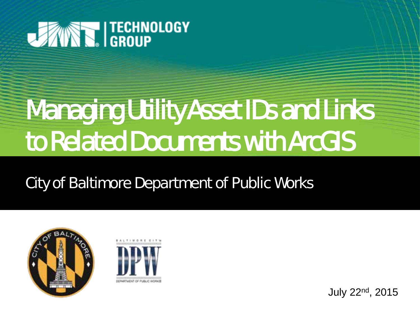

# **Managing Utility Asset IDs and Links** to Related Documents with ArcGIS

City of Baltimore Department of Public Works





July 22nd, 2015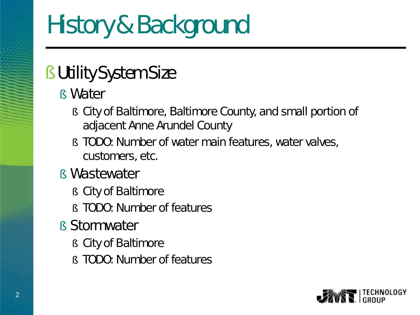### § Utility System Size

- § Water
	- § City of Baltimore, Baltimore County, and small portion of adjacent Anne Arundel County
	- § TODO: Number of water main features, water valves, customers, etc.
- § Wastewater
	- § City of Baltimore
	- § TODO: Number of features
- § Stormwater
	- § City of Baltimore
	- § TODO: Number of features

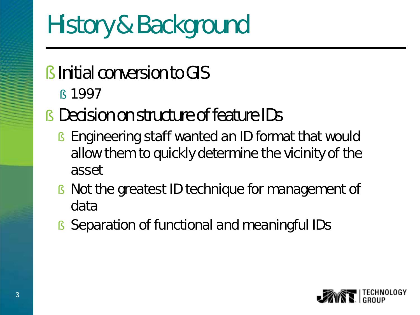- **S** Initial conversion to GIS
	- § 1997
- § Decision on structure of feature IDs
	- § Engineering staff wanted an ID format that would allow them to quickly determine the vicinity of the asset
	- § Not the greatest ID technique for management of data
	- § Separation of functional and meaningful IDs

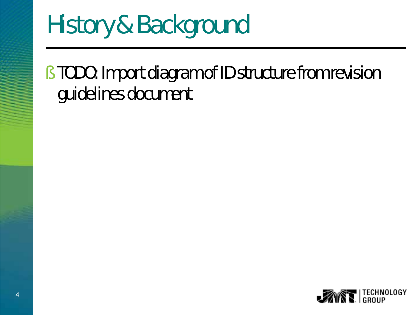§ TODO: Import diagram of ID structure from revision guidelines document

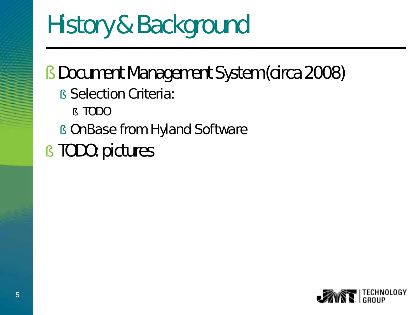### § Document Management System (circa 2008)

- **§ Selection Criteria:** 
	- § TODO
- § OnBase from Hyland Software
- § TODO: pictures

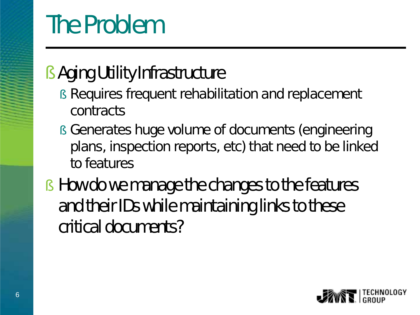## The Problem

### § Aging Utility Infrastructure

- § Requires frequent rehabilitation and replacement contracts
- § Generates huge volume of documents (engineering plans, inspection reports, etc) that need to be linked to features
- § How do we manage the changes to the features and their IDs while maintaining links to these critical documents?

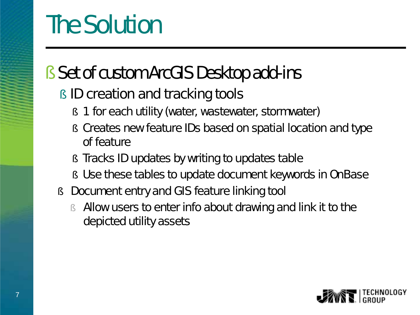### The Solution

### § Set of custom ArcGIS Desktop add-ins

#### **§ ID creation and tracking tools**

- § 1 for each utility (water, wastewater, stormwater)
- § Creates new feature IDs based on spatial location and type of feature
- **§** Tracks ID updates by writing to updates table
- § Use these tables to update document keywords in OnBase
- § Document entry and GIS feature linking tool
	- § Allow users to enter info about drawing and link it to the depicted utility assets

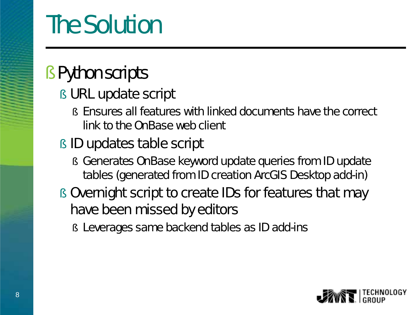## The Solution

#### § Python scripts

#### § URL update script

- § Ensures all features with linked documents have the correct link to the OnBase web client
- § ID updates table script
	- § Generates OnBase keyword update queries from ID update tables (generated from ID creation ArcGIS Desktop add-in)
- § Overnight script to create IDs for features that may have been missed by editors
	- § Leverages same backend tables as ID add-ins